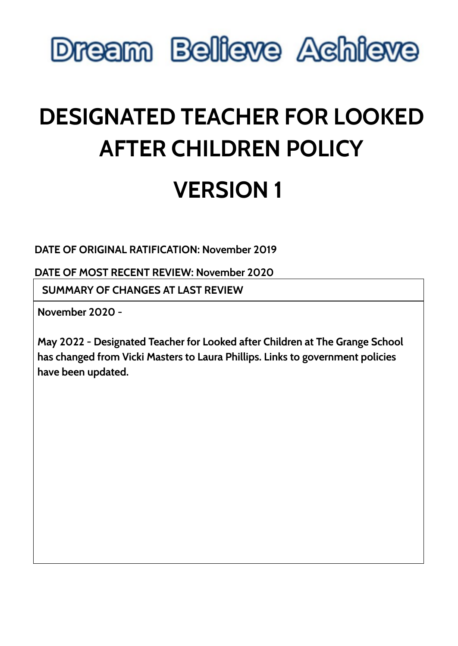

# **DESIGNATED TEACHER FOR LOOKED AFTER CHILDREN POLICY VERSION 1**

**DATE OF ORIGINAL RATIFICATION: November 2019**

**DATE OF MOST RECENT REVIEW: November 2020**

**SUMMARY OF CHANGES AT LAST REVIEW**

**November 2020 -**

**May 2022 - Designated Teacher for Looked after Children at The Grange School has changed from Vicki Masters to Laura Phillips. Links to government policies have been updated.**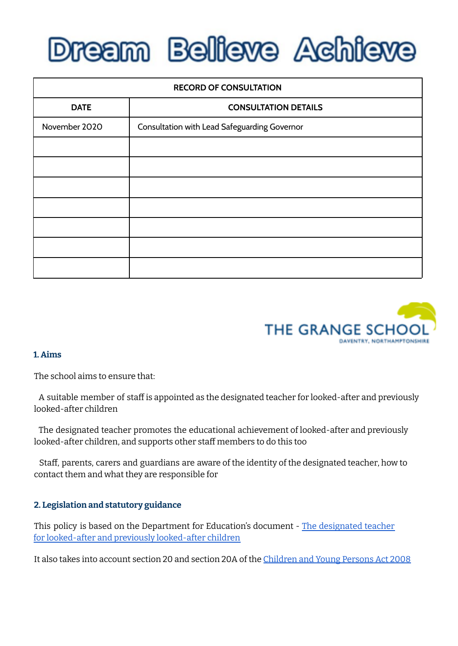# **Dream Believe Achieve**

| <b>RECORD OF CONSULTATION</b> |                                              |
|-------------------------------|----------------------------------------------|
| <b>DATE</b>                   | <b>CONSULTATION DETAILS</b>                  |
| November 2020                 | Consultation with Lead Safeguarding Governor |
|                               |                                              |
|                               |                                              |
|                               |                                              |
|                               |                                              |
|                               |                                              |
|                               |                                              |
|                               |                                              |



#### **1. Aims**

The school aims to ensure that:

A suitable member of staff is appointed as the designated teacher for looked-after and previously looked-after children

The designated teacher promotes the educational achievement of looked-after and previously looked-after children, and supports other staff members to do this too

Staff, parents, carers and guardians are aware of the identity of the designated teacher, how to contact them and what they are responsible for

#### **2. Legislation and statutory guidance**

This policy is based on the Department for Education's document - The [designated](https://assets.publishing.service.gov.uk/government/uploads/system/uploads/attachment_data/file/683561/The_designated_teacher_for_looked-after_and_previously_looked-after_children.pdf) teacher for [looked-after](https://assets.publishing.service.gov.uk/government/uploads/system/uploads/attachment_data/file/683561/The_designated_teacher_for_looked-after_and_previously_looked-after_children.pdf) and previously looked-after children

It also takes into account section 20 and section 20A of the [Children](https://www.legislation.gov.uk/ukpga/2008/23/section/20) and Young Persons Act 2008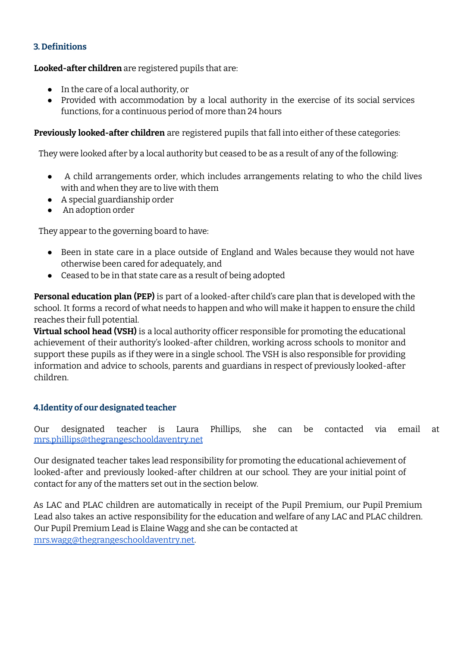# **3. Definitions**

**Looked-after children** are registered pupils that are:

- In the care of a local authority, or
- Provided with accommodation by a local authority in the exercise of its social services functions, for a continuous period of more than 24 hours

### **Previously looked-after children** are registered pupils that fall into either of these categories:

They were looked after by a local authority but ceased to be as a result of any of the following:

- A child arrangements order, which includes arrangements relating to who the child lives with and when they are to live with them
- A special guardianship order
- An adoption order

They appear to the governing board to have:

- Been in state care in a place outside of England and Wales because they would not have otherwise been cared for adequately, and
- Ceased to be in that state care as a result of being adopted

**Personal education plan (PEP)** is part of a looked-after child's care plan that is developed with the school. It forms a record of what needs to happen and who will make it happen to ensure the child reaches their full potential.

**Virtual school head (VSH)** is a local authority officer responsible for promoting the educational achievement of their authority's looked-after children, working across schools to monitor and support these pupils as if they were in a single school. The VSH is also responsible for providing information and advice to schools, parents and guardians in respect of previously looked-after children.

#### **4.Identity of our designated teacher**

Our designated teacher is Laura Phillips, she can be contacted via email at [mrs.phillips@thegrangeschooldaventry.net](mailto:mrs.phillips@thegrangeschooldaventry.net)

Our designated teacher takes lead responsibility for promoting the educational achievement of looked-after and previously looked-after children at our school. They are your initial point of contact for any of the matters set out in the section below.

As LAC and PLAC children are automatically in receipt of the Pupil Premium, our Pupil Premium Lead also takes an active responsibility for the education and welfare of any LAC and PLAC children. Our Pupil Premium Lead is Elaine Wagg and she can be contacted at mrs.wagg@thegrangeschooldaventry.net.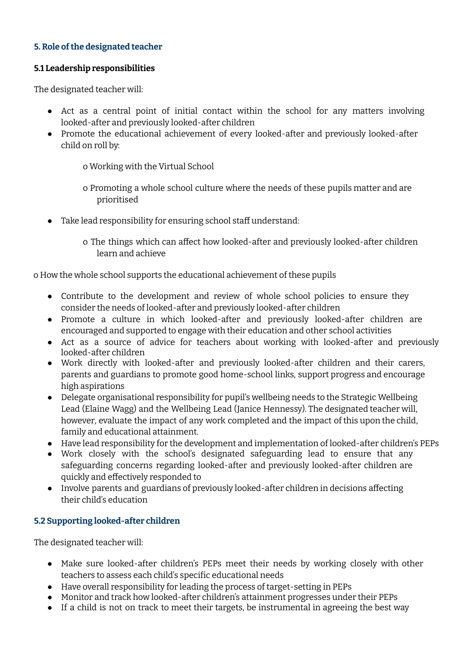# **5. Role ofthe designated teacher**

### **5.1 Leadership responsibilities**

The designated teacher will:

- Act as a central point of initial contact within the school for any matters involving looked-after and previously looked-after children
- Promote the educational achievement of every looked-after and previously looked-after child on roll by:
	- o Working with the Virtual School
	- o Promoting a whole school culture where the needs of these pupils matter and are prioritised
- Take lead responsibility for ensuring school staff understand:
	- o The things which can affect how looked-after and previously looked-after children learn and achieve

o How the whole school supports the educational achievement of these pupils

- Contribute to the development and review of whole school policies to ensure they consider the needs of looked-after and previously looked-after children
- Promote a culture in which looked-after and previously looked-after children are encouraged and supported to engage with their education and other school activities
- Act as a source of advice for teachers about working with looked-after and previously looked-after children
- Work directly with looked-after and previously looked-after children and their carers, parents and guardians to promote good home-school links, support progress and encourage high aspirations
- Delegate organisational responsibility for pupil's wellbeing needs to the Strategic Wellbeing Lead (Elaine Wagg) and the Wellbeing Lead (Janice Hennessy). The designated teacher will, however, evaluate the impact of any work completed and the impact of this upon the child, family and educational attainment.
- Have lead responsibility for the development and implementation of looked-after children's PEPs
- Work closely with the school's designated safeguarding lead to ensure that any safeguarding concerns regarding looked-after and previously looked-after children are quickly and effectively responded to
- Involve parents and guardians of previously looked-after children in decisions affecting their child's education

# **5.2 Supporting looked-after children**

The designated teacher will:

- Make sure looked-after children's PEPs meet their needs by working closely with other teachers to assess each child's specific educational needs
- Have overall responsibility for leading the process of target-setting in PEPs
- Monitor and track how looked-after children's attainment progresses under their PEPs
- If a child is not on track to meet their targets, be instrumental in agreeing the best way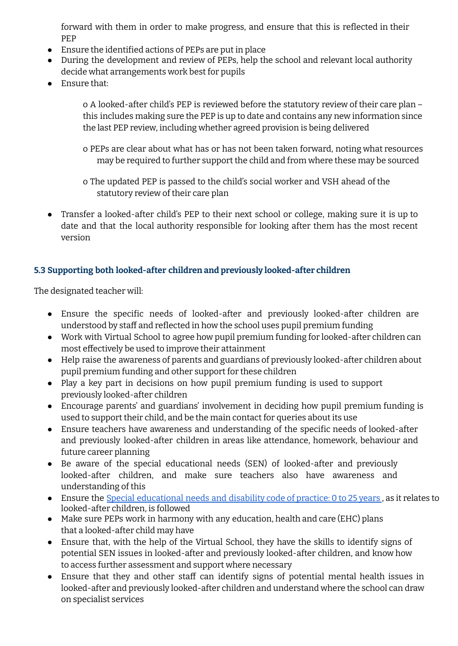forward with them in order to make progress, and ensure that this is reflected in their PEP

- Ensure the identified actions of PEPs are put in place
- During the development and review of PEPs, help the school and relevant local authority decide what arrangements work best for pupils
- Ensure that:

o A looked-after child's PEP is reviewed before the statutory review of their care plan – this includes making sure the PEP is up to date and contains any new information since the last PEP review, including whether agreed provision is being delivered

- o PEPs are clear about what has or has not been taken forward, noting what resources may be required to further support the child and from where these may be sourced
- o The updated PEP is passed to the child's social worker and VSH ahead of the statutory review of their care plan
- Transfer a looked-after child's PEP to their next school or college, making sure it is up to date and that the local authority responsible for looking after them has the most recent version

# **5.3 Supporting both looked-after children and previously looked-after children**

The designated teacher will:

- Ensure the specific needs of looked-after and previously looked-after children are understood by staff and reflected in how the school uses pupil premium funding
- Work with Virtual School to agree how pupil premium funding for looked-after children can most effectively be used to improve their attainment
- Help raise the awareness of parents and guardians of previously looked-after children about pupil premium funding and other support for these children
- Play a key part in decisions on how pupil premium funding is used to support previously looked-after children
- Encourage parents' and guardians' involvement in deciding how pupil premium funding is used to support their child, and be the main contact for queries about its use
- Ensure teachers have awareness and understanding of the specific needs of looked-after and previously looked-after children in areas like attendance, homework, behaviour and future career planning
- Be aware of the special educational needs (SEN) of looked-after and previously looked-after children, and make sure teachers also have awareness and understanding of this
- Ensure the Special [educational](https://assets.publishing.service.gov.uk/government/uploads/system/uploads/attachment_data/file/398815/SEND_Code_of_Practice_January_2015.pdf) needs and disability code of practice: 0 to 25 years , as it relates to looked-after children, is followed
- Make sure PEPs work in harmony with any education, health and care (EHC) plans that a looked-after child may have
- Ensure that, with the help of the Virtual School, they have the skills to identify signs of potential SEN issues in looked-after and previously looked-after children, and know how to access further assessment and support where necessary
- Ensure that they and other staff can identify signs of potential mental health issues in looked-after and previously looked-after children and understand where the school can draw on specialist services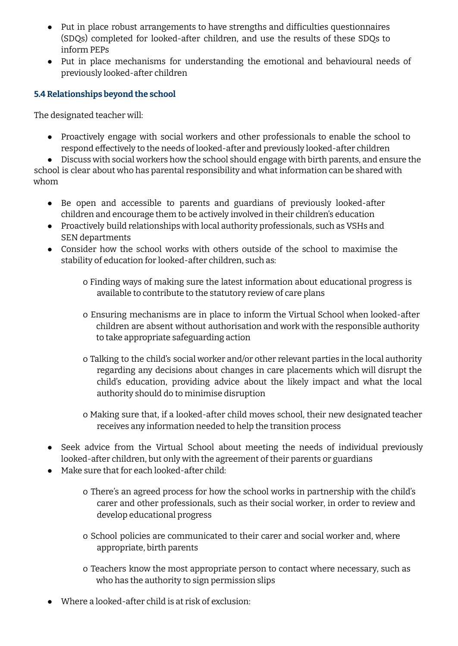- Put in place robust arrangements to have strengths and difficulties questionnaires (SDQs) completed for looked-after children, and use the results of these SDQs to inform PEPs
- Put in place mechanisms for understanding the emotional and behavioural needs of previously looked-after children

# **5.4 Relationships beyond the school**

The designated teacher will:

● Proactively engage with social workers and other professionals to enable the school to respond effectively to the needs of looked-after and previously looked-after children

● Discuss with social workers how the school should engage with birth parents, and ensure the school is clear about who has parental responsibility and what information can be shared with whom

- Be open and accessible to parents and guardians of previously looked-after children and encourage them to be actively involved in their children's education
- Proactively build relationships with local authority professionals, such as VSHs and SEN departments
- Consider how the school works with others outside of the school to maximise the stability of education for looked-after children, such as:
	- o Finding ways of making sure the latest information about educational progress is available to contribute to the statutory review of care plans
	- o Ensuring mechanisms are in place to inform the Virtual School when looked-after children are absent without authorisation and work with the responsible authority to take appropriate safeguarding action
	- o Talking to the child's social worker and/or other relevant parties in the local authority regarding any decisions about changes in care placements which will disrupt the child's education, providing advice about the likely impact and what the local authority should do to minimise disruption
	- o Making sure that, if a looked-after child moves school, their new designated teacher receives any information needed to help the transition process
- Seek advice from the Virtual School about meeting the needs of individual previously looked-after children, but only with the agreement of their parents or guardians
- Make sure that for each looked-after child:
	- o There's an agreed process for how the school works in partnership with the child's carer and other professionals, such as their social worker, in order to review and develop educational progress
	- o School policies are communicated to their carer and social worker and, where appropriate, birth parents
	- o Teachers know the most appropriate person to contact where necessary, such as who has the authority to sign permission slips
- $\bullet$  Where a looked-after child is at risk of exclusion.